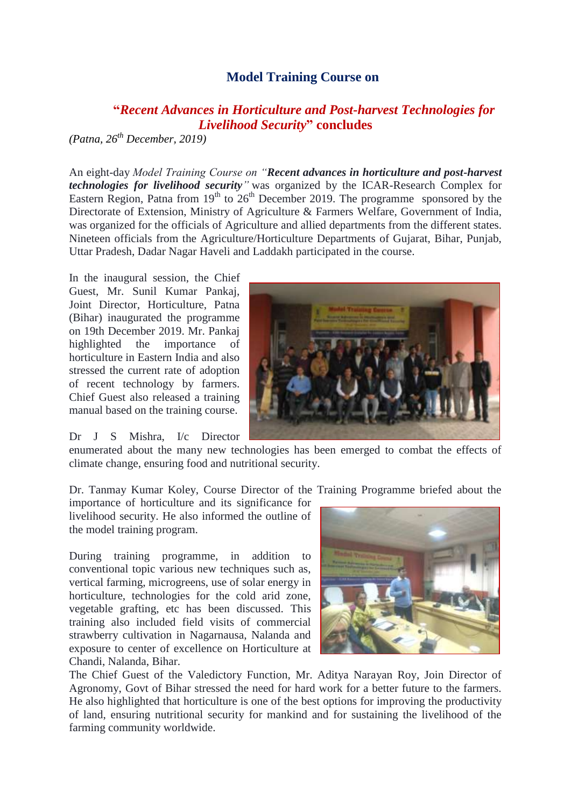## **Model Training Course on**

## **"***Recent Advances in Horticulture and Post-harvest Technologies for Livelihood Security***" concludes**

*(Patna, 26th December, 2019)*

An eight-day *Model Training Course on "Recent advances in horticulture and post-harvest technologies for livelihood security"* was organized by the ICAR-Research Complex for Eastern Region, Patna from  $19<sup>th</sup>$  to  $26<sup>th</sup>$  December 2019. The programme sponsored by the Directorate of Extension, Ministry of Agriculture & Farmers Welfare, Government of India, was organized for the officials of Agriculture and allied departments from the different states. Nineteen officials from the Agriculture/Horticulture Departments of Gujarat, Bihar, Punjab, Uttar Pradesh, Dadar Nagar Haveli and Laddakh participated in the course.

In the inaugural session, the Chief Guest, Mr. Sunil Kumar Pankaj, Joint Director, Horticulture, Patna (Bihar) inaugurated the programme on 19th December 2019. Mr. Pankaj highlighted the importance of horticulture in Eastern India and also stressed the current rate of adoption of recent technology by farmers. Chief Guest also released a training manual based on the training course.

Dr J S Mishra, I/c Director



enumerated about the many new technologies has been emerged to combat the effects of climate change, ensuring food and nutritional security.

Dr. Tanmay Kumar Koley, Course Director of the Training Programme briefed about the

importance of horticulture and its significance for livelihood security. He also informed the outline of the model training program.

During training programme, in addition to conventional topic various new techniques such as, vertical farming, microgreens, use of solar energy in horticulture, technologies for the cold arid zone, vegetable grafting, etc has been discussed. This training also included field visits of commercial strawberry cultivation in Nagarnausa, Nalanda and exposure to center of excellence on Horticulture at Chandi, Nalanda, Bihar.



The Chief Guest of the Valedictory Function, Mr. Aditya Narayan Roy, Join Director of Agronomy, Govt of Bihar stressed the need for hard work for a better future to the farmers. He also highlighted that horticulture is one of the best options for improving the productivity of land, ensuring nutritional security for mankind and for sustaining the livelihood of the farming community worldwide.